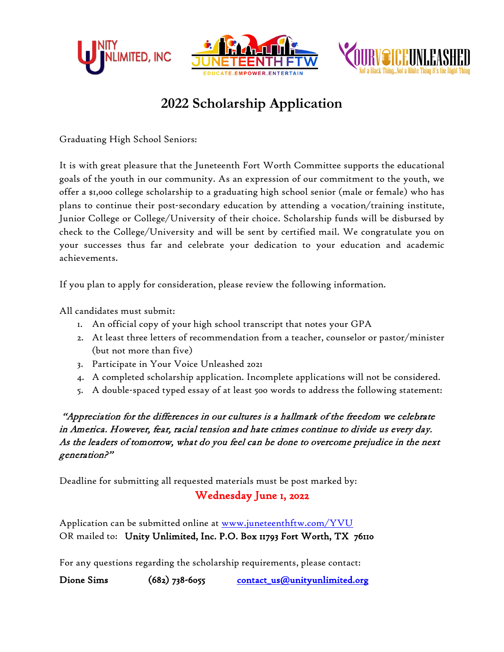





# **2022 Scholarship Application**

Graduating High School Seniors:

It is with great pleasure that the Juneteenth Fort Worth Committee supports the educational goals of the youth in our community. As an expression of our commitment to the youth, we offer a \$1,000 college scholarship to a graduating high school senior (male or female) who has plans to continue their post-secondary education by attending a vocation/training institute, Junior College or College/University of their choice. Scholarship funds will be disbursed by check to the College/University and will be sent by certified mail. We congratulate you on your successes thus far and celebrate your dedication to your education and academic achievements.

If you plan to apply for consideration, please review the following information.

All candidates must submit:

- 1. An official copy of your high school transcript that notes your GPA
- 2. At least three letters of recommendation from a teacher, counselor or pastor/minister (but not more than five)
- 3. Participate in Your Voice Unleashed 2021
- 4. A completed scholarship application. Incomplete applications will not be considered.
- 5. A double-spaced typed essay of at least 500 words to address the following statement:

 "Appreciation for the differences in our cultures is a hallmark of the freedom we celebrate in America. However, fear, racial tension and hate crimes continue to divide us every day. As the leaders of tomorrow, what do you feel can be done to overcome prejudice in the next generation?"

Deadline for submitting all requested materials must be post marked by:

### Wednesday June 1, 2022

Application can be submitted online at [www.juneteenthftw.com/YVU](http://www.juneteenthftw.com/scholarship) OR mailed to: Unity Unlimited, Inc. P.O. Box 11793 Fort Worth, TX 76110

For any questions regarding the scholarship requirements, please contact:

Dione Sims (682) 738-6055 contact\_us@unityunlimited.org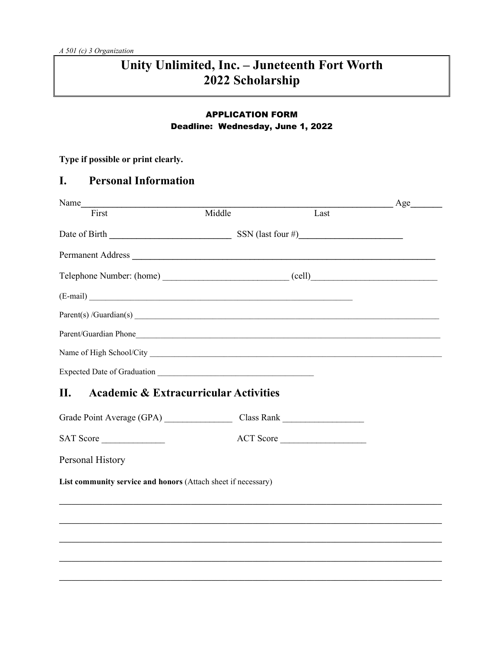# Unity Unlimited, Inc. - Juneteenth Fort Worth 2022 Scholarship

### **APPLICATION FORM** Deadline: Wednesday, June 1, 2022

Type if possible or print clearly.

#### I. **Personal Information**

| Name                                                                             |        |           | Age<br>$\overline{\phantom{a}}$ |
|----------------------------------------------------------------------------------|--------|-----------|---------------------------------|
| First                                                                            | Middle | Last      |                                 |
|                                                                                  |        |           |                                 |
| Permanent Address                                                                |        |           |                                 |
|                                                                                  |        |           |                                 |
| (E-mail)                                                                         |        |           |                                 |
|                                                                                  |        |           |                                 |
|                                                                                  |        |           |                                 |
|                                                                                  |        |           |                                 |
|                                                                                  |        |           |                                 |
| <b>Academic &amp; Extracurricular Activities</b><br><b>II.</b>                   |        |           |                                 |
|                                                                                  |        |           |                                 |
| SAT Score                                                                        |        | ACT Score |                                 |
| Personal History                                                                 |        |           |                                 |
| List community service and honors (Attach sheet if necessary)                    |        |           |                                 |
| ,我们也不会有什么。""我们的人,我们也不会有什么?""我们的人,我们也不会有什么?""我们的人,我们也不会有什么?""我们的人,我们也不会有什么?""我们的人 |        |           |                                 |
|                                                                                  |        |           |                                 |
|                                                                                  |        |           |                                 |
|                                                                                  |        |           |                                 |
|                                                                                  |        |           |                                 |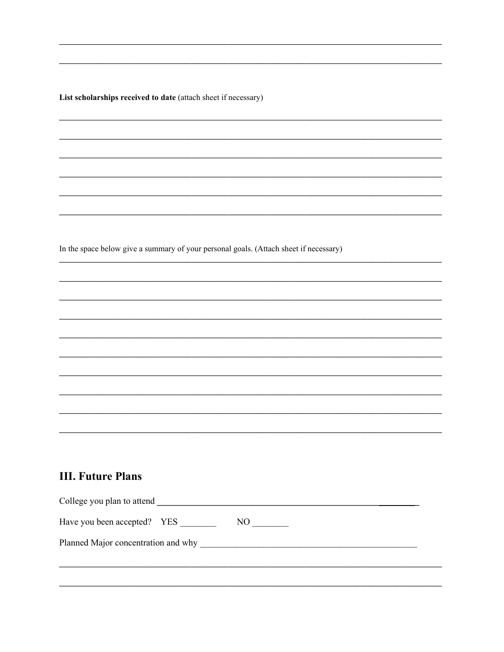List scholarships received to date (attach sheet if necessary)

In the space below give a summary of your personal goals. (Attach sheet if necessary)

# **III. Future Plans**

| Have you been accepted? YES<br>NO.  | College you plan to attend |
|-------------------------------------|----------------------------|
| Planned Major concentration and why |                            |
|                                     |                            |
|                                     |                            |